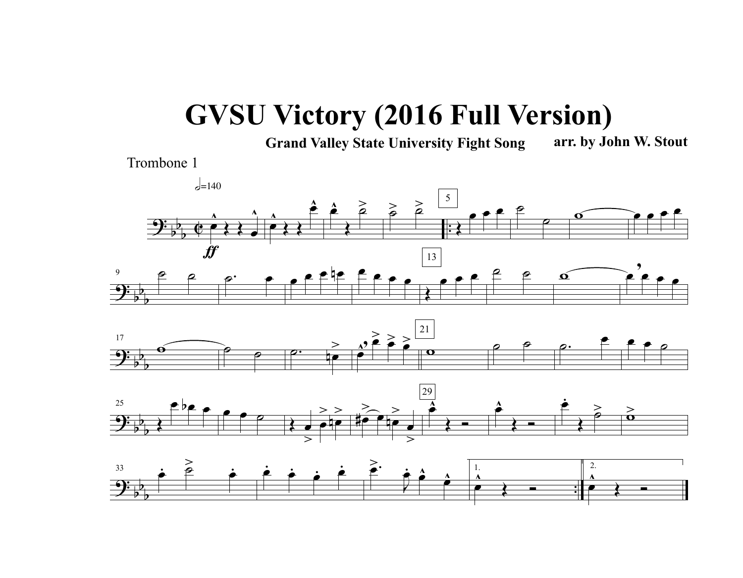## **GVSU Victory (2016 Full Version)**

**Grand Valley State University Fight Song arr. by John W. Stout**

Trombone 1





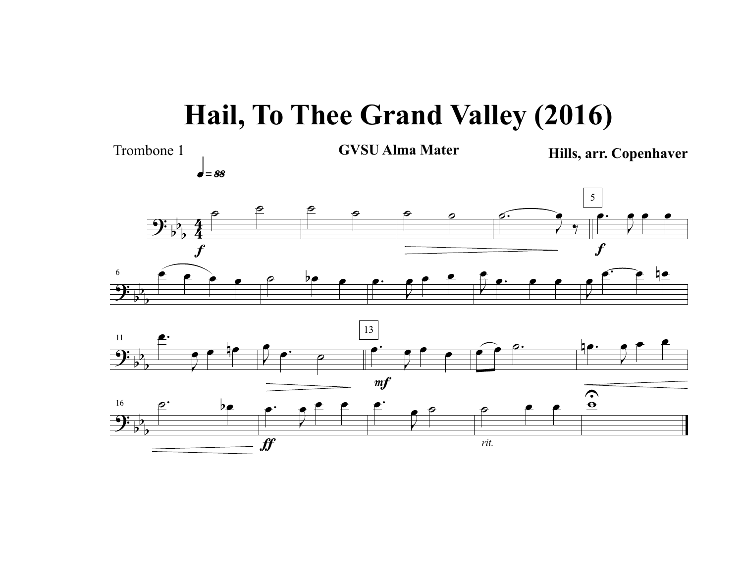## **Hail, To Thee Grand Valley (2016)**



q»••

Trombone 1 **GVSU Alma Mater Hills, arr. Copenhaver**





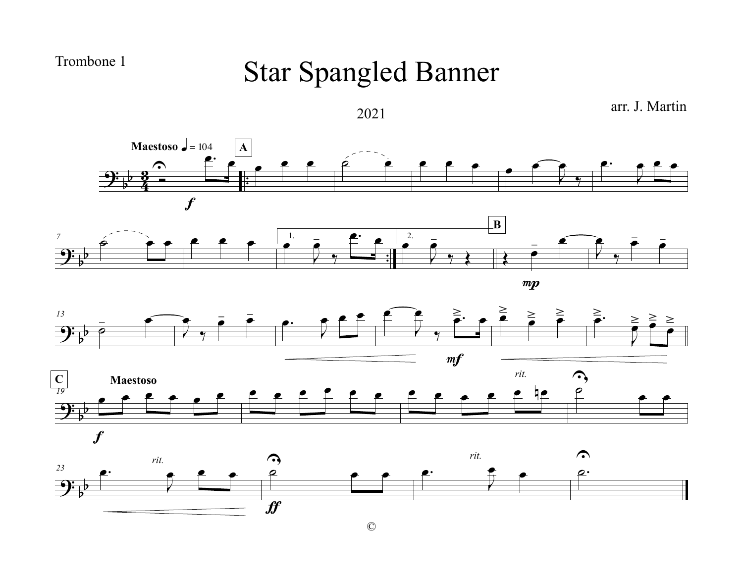Trombone 1

## Star Spangled Banner



©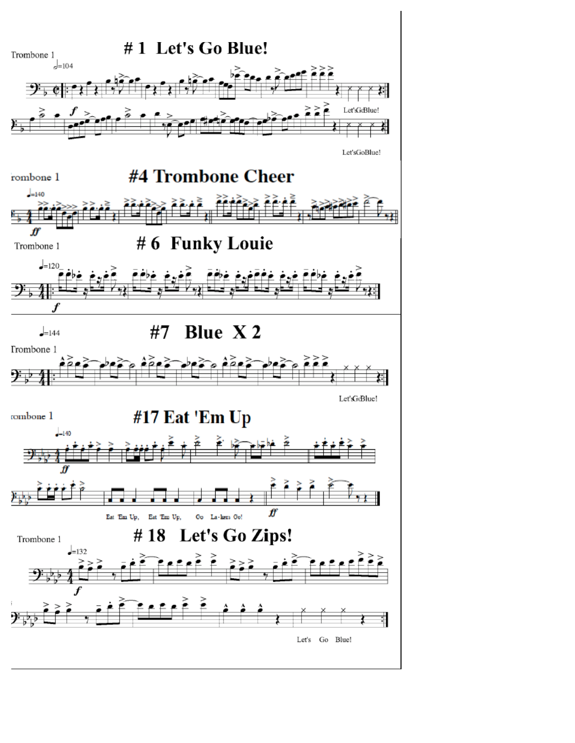